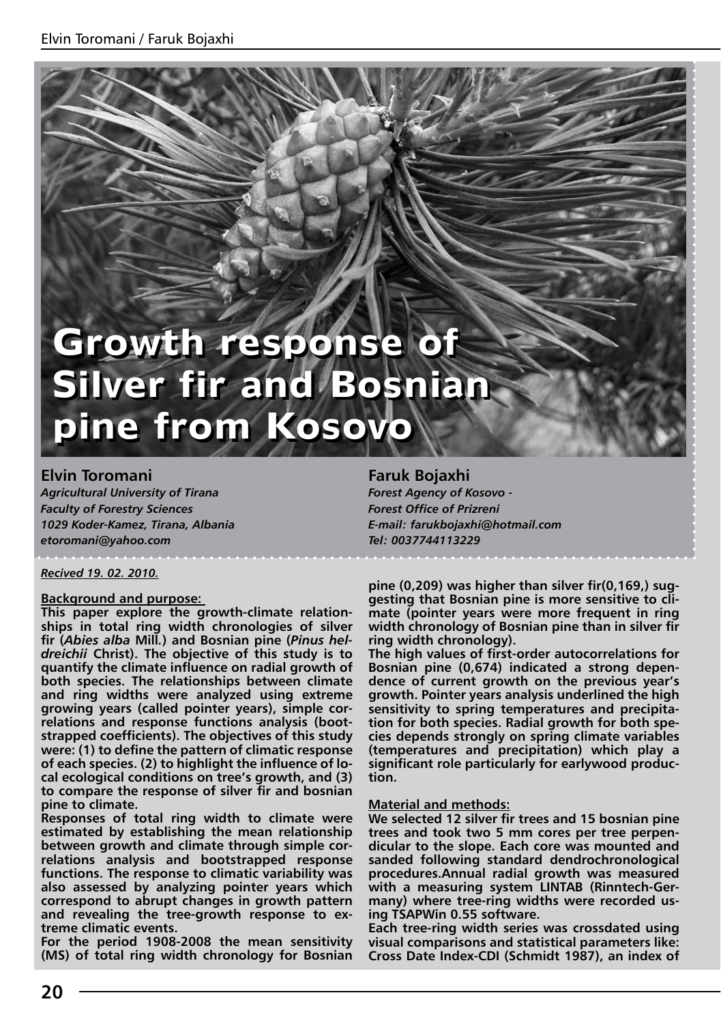# **Growth response of Growth response of Silver fir and Bosnian Silver fir and Bosnian pine from Kosovo pine from Kosovo**

**Elvin Toromani** *Agricultural University of Tirana Faculty of Forestry Sciences 1029 Koder-Kamez, Tirana, Albania etoromani@yahoo.com*

*Recived 19. 02. 2010.*

#### **Background and purpose:**

**This paper explore the growth-climate relationships in total ring width chronologies of silver fir (***Abies alba* **Mill***.***) and Bosnian pine (***Pinus heldreichii* **Christ). The objective of this study is to quantify the climate influence on radial growth of both species. The relationships between climate and ring widths were analyzed using extreme growing years (called pointer years), simple correlations and response functions analysis (bootstrapped coefficients). The objectives of this study were: (1) to define the pattern of climatic response of each species. (2) to highlight the influence of local ecological conditions on tree's growth, and (3) to compare the response of silver fir and bosnian pine to climate.**

**Responses of total ring width to climate were estimated by establishing the mean relationship between growth and climate through simple correlations analysis and bootstrapped response functions. The response to climatic variability was also assessed by analyzing pointer years which correspond to abrupt changes in growth pattern and revealing the tree-growth response to extreme climatic events.**

**For the period 1908-2008 the mean sensitivity (MS) of total ring width chronology for Bosnian** 

**Faruk Bojaxhi**  *Forest Agency of Kosovo - Forest Office of Prizreni E-mail: farukbojaxhi@hotmail.com Tel: 0037744113229*

**pine (0,209) was higher than silver fir(0,169,) suggesting that Bosnian pine is more sensitive to climate (pointer years were more frequent in ring width chronology of Bosnian pine than in silver fir ring width chronology).** 

**The high values of first-order autocorrelations for Bosnian pine (0,674) indicated a strong dependence of current growth on the previous year's growth. Pointer years analysis underlined the high sensitivity to spring temperatures and precipitation for both species. Radial growth for both species depends strongly on spring climate variables (temperatures and precipitation) which play a significant role particularly for earlywood production.** 

#### **Material and methods:**

**We selected 12 silver fir trees and 15 bosnian pine trees and took two 5 mm cores per tree perpendicular to the slope. Each core was mounted and sanded following standard dendrochronological procedures.Annual radial growth was measured with a measuring system LINTAB (Rinntech-Germany) where tree-ring widths were recorded using TSAPWin 0.55 software.** 

**Each tree-ring width series was crossdated using visual comparisons and statistical parameters like: Cross Date Index-CDI (Schmidt 1987), an index of**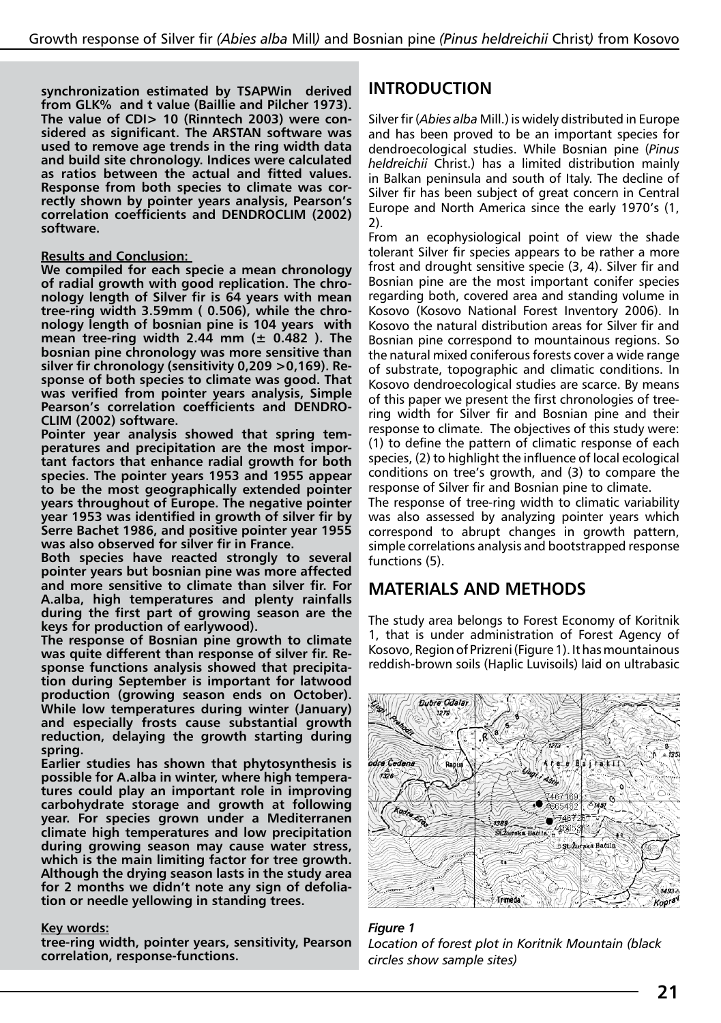**synchronization estimated by TSAPWin derived from GLK% and t value (Baillie and Pilcher 1973). The value of CDI> 10 (Rinntech 2003) were considered as significant. The ARSTAN software was used to remove age trends in the ring width data and build site chronology. Indices were calculated as ratios between the actual and fitted values. Response from both species to climate was correctly shown by pointer years analysis, Pearson's correlation coefficients and DENDROCLIM (2002) software.** 

#### **Results and Conclusion:**

**We compiled for each specie a mean chronology of radial growth with good replication. The chronology length of Silver fir is 64 years with mean tree-ring width 3.59mm ( 0.506), while the chronology length of bosnian pine is 104 years with mean tree-ring width 2.44 mm (± 0.482 ). The bosnian pine chronology was more sensitive than silver fir chronology (sensitivity 0,209 >0,169). Response of both species to climate was good. That was verified from pointer years analysis, Simple Pearson's correlation coefficients and DENDRO-CLIM (2002) software.** 

**Pointer year analysis showed that spring temperatures and precipitation are the most important factors that enhance radial growth for both species. The pointer years 1953 and 1955 appear to be the most geographically extended pointer years throughout of Europe. The negative pointer year 1953 was identified in growth of silver fir by Serre Bachet 1986, and positive pointer year 1955 was also observed for silver fir in France.** 

**Both species have reacted strongly to several pointer years but bosnian pine was more affected and more sensitive to climate than silver fir. For A.alba, high temperatures and plenty rainfalls during the first part of growing season are the keys for production of earlywood).** 

**The response of Bosnian pine growth to climate was quite different than response of silver fir. Response functions analysis showed that precipitation during September is important for latwood production (growing season ends on October). While low temperatures during winter (January) and especially frosts cause substantial growth reduction, delaying the growth starting during spring.** 

**Earlier studies has shown that phytosynthesis is possible for A.alba in winter, where high temperatures could play an important role in improving carbohydrate storage and growth at following year. For species grown under a Mediterranen climate high temperatures and low precipitation during growing season may cause water stress, which is the main limiting factor for tree growth. Although the drying season lasts in the study area for 2 months we didn't note any sign of defoliation or needle yellowing in standing trees.**

#### **Key words:**

**tree-ring width, pointer years, sensitivity, Pearson correlation, response-functions.** 

## **INTRODUCTION**

Silver fir (*Abies alba* Mill.) is widely distributed in Europe and has been proved to be an important species for dendroecological studies. While Bosnian pine (*Pinus heldreichii* Christ.) has a limited distribution mainly in Balkan peninsula and south of Italy. The decline of Silver fir has been subject of great concern in Central Europe and North America since the early 1970's (1, 2).

From an ecophysiological point of view the shade tolerant Silver fir species appears to be rather a more frost and drought sensitive specie (3, 4). Silver fir and Bosnian pine are the most important conifer species regarding both, covered area and standing volume in Kosovo (Kosovo National Forest Inventory 2006). In Kosovo the natural distribution areas for Silver fir and Bosnian pine correspond to mountainous regions. So the natural mixed coniferous forests cover a wide range of substrate, topographic and climatic conditions. In Kosovo dendroecological studies are scarce. By means of this paper we present the first chronologies of treering width for Silver fir and Bosnian pine and their response to climate. The objectives of this study were: (1) to define the pattern of climatic response of each species, (2) to highlight the influence of local ecological conditions on tree's growth, and (3) to compare the response of Silver fir and Bosnian pine to climate.

The response of tree-ring width to climatic variability was also assessed by analyzing pointer years which correspond to abrupt changes in growth pattern, simple correlations analysis and bootstrapped response functions (5).

## **MATERIALS AND METHODS**

The study area belongs to Forest Economy of Koritnik 1, that is under administration of Forest Agency of Kosovo, Region of Prizreni (Figure 1). It has mountainous reddish-brown soils (Haplic Luvisoils) laid on ultrabasic



*Figure 1 Location of forest plot in Koritnik Mountain (black circles show sample sites)*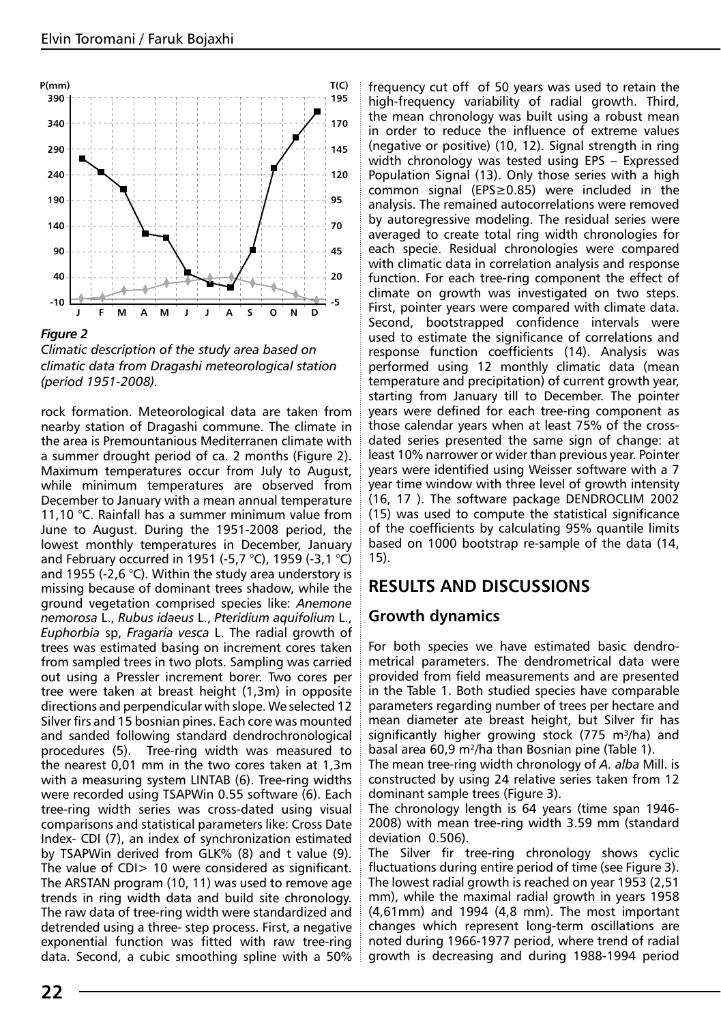

*Figure 2*

*Climatic description of the study area based on climatic data from Dragashi meteorological station (period 1951-2008).*

rock formation. Meteorological data are taken from nearby station of Dragashi commune. The climate in the area is Premountanious Mediterranen climate with a summer drought period of ca. 2 months (Figure 2). Maximum temperatures occur from July to August, while minimum temperatures are observed from December to January with a mean annual temperature 11,10 °C. Rainfall has a summer minimum value from June to August. During the 1951-2008 period, the lowest monthly temperatures in December, January and February occurred in 1951 (-5,7 °C), 1959 (-3,1 °C) and 1955 (-2,6 °C). Within the study area understory is missing because of dominant trees shadow, while the ground vegetation comprised species like: *Anemone nemorosa* L., *Rubus idaeus* L., *Pteridium aquifolium* L., *Euphorbia* sp, *Fragaria vesca* L. The radial growth of trees was estimated basing on increment cores taken from sampled trees in two plots. Sampling was carried out using a Pressler increment borer. Two cores per tree were taken at breast height (1,3m) in opposite directions and perpendicular with slope. We selected 12 Silver firs and 15 bosnian pines. Each core was mounted and sanded following standard dendrochronological procedures (5). Tree-ring width was measured to the nearest 0,01 mm in the two cores taken at 1,3m with a measuring system LINTAB (6). Tree-ring widths were recorded using TSAPWin 0.55 software (6). Each tree-ring width series was cross-dated using visual comparisons and statistical parameters like: Cross Date Index- CDI (7), an index of synchronization estimated by TSAPWin derived from GLK% (8) and t value (9). The value of CDI> 10 were considered as significant. The ARSTAN program (10, 11) was used to remove age trends in ring width data and build site chronology. The raw data of tree-ring width were standardized and detrended using a three- step process. First, a negative exponential function was fitted with raw tree-ring data. Second, a cubic smoothing spline with a 50% frequency cut off of 50 years was used to retain the high-frequency variability of radial growth. Third, the mean chronology was built using a robust mean in order to reduce the influence of extreme values (negative or positive) (10, 12). Signal strength in ring width chronology was tested using EPS – Expressed Population Signal (13). Only those series with a high common signal (EPS≥0.85) were included in the analysis. The remained autocorrelations were removed by autoregressive modeling. The residual series were averaged to create total ring width chronologies for each specie. Residual chronologies were compared with climatic data in correlation analysis and response function. For each tree-ring component the effect of climate on growth was investigated on two steps. First, pointer years were compared with climate data. Second, bootstrapped confidence intervals were used to estimate the significance of correlations and response function coefficients (14). Analysis was performed using 12 monthly climatic data (mean temperature and precipitation) of current growth year, starting from January till to December. The pointer years were defined for each tree-ring component as those calendar years when at least 75% of the crossdated series presented the same sign of change: at least 10% narrower or wider than previous year. Pointer years were identified using Weisser software with a 7 year time window with three level of growth intensity (16, 17 ). The software package DENDROCLIM 2002 (15) was used to compute the statistical significance of the coefficients by calculating 95% quantile limits based on 1000 bootstrap re-sample of the data (14, 15).

## **RESULTS AND DISCUSSIONS**

## **Growth dynamics**

For both species we have estimated basic dendrometrical parameters. The dendrometrical data were provided from field measurements and are presented in the Table 1. Both studied species have comparable parameters regarding number of trees per hectare and mean diameter ate breast height, but Silver fir has significantly higher growing stock (775 m $3/ha$ ) and basal area 60,9 m²/ha than Bosnian pine (Table 1).

The mean tree-ring width chronology of *A. alba* Mill. is constructed by using 24 relative series taken from 12 dominant sample trees (Figure 3).

The chronology length is 64 years (time span 1946- 2008) with mean tree-ring width 3.59 mm (standard deviation 0.506).

The Silver fir tree-ring chronology shows cyclic fluctuations during entire period of time (see Figure 3). The lowest radial growth is reached on year 1953 (2,51 mm), while the maximal radial growth in years 1958 (4,61mm) and 1994 (4,8 mm). The most important changes which represent long-term oscillations are noted during 1966-1977 period, where trend of radial growth is decreasing and during 1988-1994 period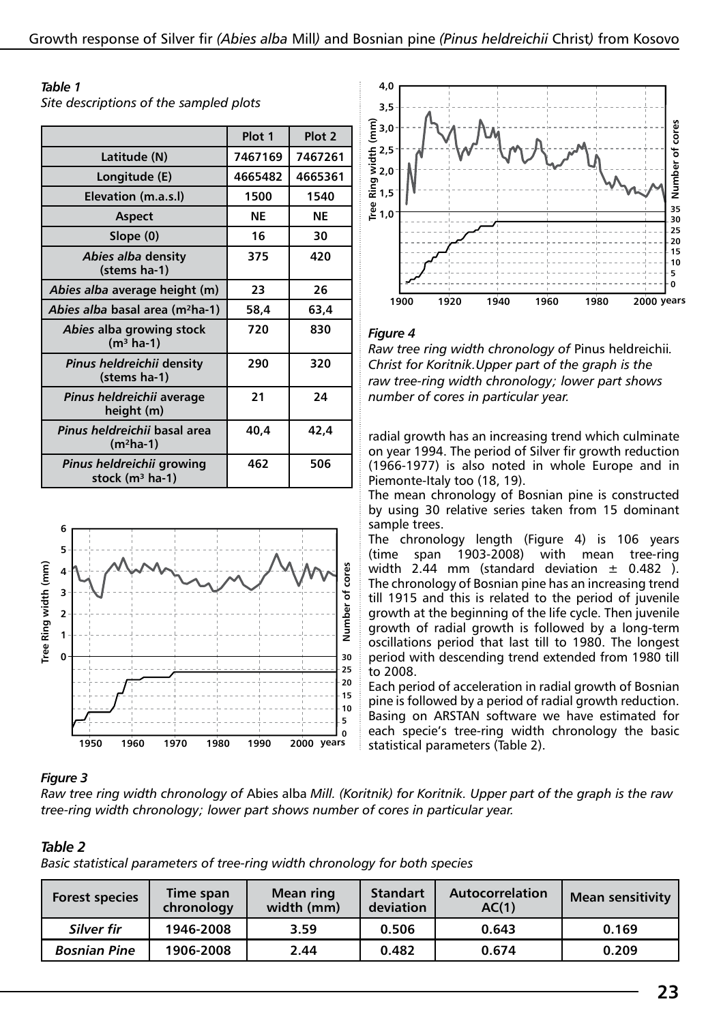#### *Table 1*

*Site descriptions of the sampled plots*

|                                                | Plot 1  | Plot <sub>2</sub> |
|------------------------------------------------|---------|-------------------|
| Latitude (N)                                   | 7467169 | 7467261           |
| Longitude (E)                                  | 4665482 | 4665361           |
| Elevation (m.a.s.l)                            | 1500    | 1540              |
| <b>Aspect</b>                                  | NE      | ΝE                |
| Slope (0)                                      | 16      | 30                |
| Abies alba density<br>(stems ha-1)             | 375     | 420               |
| Abies alba average height (m)                  | 23      | 26                |
| Abies alba basal area (m <sup>2</sup> ha-1)    | 58,4    | 63,4              |
| Abies alba growing stock<br>$(m3 ha-1)$        | 720     | 830               |
| Pinus heldreichii density<br>(stems ha-1)      | 290     | 320               |
| Pinus heldreichii average<br>height (m)        | 21      | 24                |
| Pinus heldreichii basal area<br>$(m^2ha-1)$    | 40,4    | 42,4              |
| Pinus heldreichii growing<br>stock $(m3$ ha-1) | 462     | 506               |





#### *Figure 4*

*Raw tree ring width chronology of* Pinus heldreichii*. Christ for Koritnik.Upper part of the graph is the raw tree-ring width chronology; lower part shows number of cores in particular year.*

radial growth has an increasing trend which culminate on year 1994. The period of Silver fir growth reduction (1966-1977) is also noted in whole Europe and in Piemonte-Italy too (18, 19).

The mean chronology of Bosnian pine is constructed by using 30 relative series taken from 15 dominant sample trees.

The chronology length (Figure 4) is 106 years (time span 1903-2008) with mean tree-ring width 2.44 mm (standard deviation  $\pm$  0.482). The chronology of Bosnian pine has an increasing trend till 1915 and this is related to the period of juvenile growth at the beginning of the life cycle. Then juvenile growth of radial growth is followed by a long-term oscillations period that last till to 1980. The longest period with descending trend extended from 1980 till to 2008.

Each period of acceleration in radial growth of Bosnian pine is followed by a period of radial growth reduction. Basing on ARSTAN software we have estimated for each specie's tree-ring width chronology the basic statistical parameters (Table 2).

#### *Figure 3*

*Raw tree ring width chronology of* Abies alba *Mill. (Koritnik) for Koritnik. Upper part of the graph is the raw tree-ring width chronology; lower part shows number of cores in particular year.*

#### *Table 2*

*Basic statistical parameters of tree-ring width chronology for both species*

| <b>Forest species</b> | Time span<br>chronology | <b>Mean ring</b><br>width (mm) | <b>Standart</b><br>deviation | Autocorrelation<br>AC(1) | <b>Mean sensitivity</b> |
|-----------------------|-------------------------|--------------------------------|------------------------------|--------------------------|-------------------------|
| Silver fir            | 1946-2008               | 3.59                           | 0.506                        | 0.643                    | 0.169                   |
| <b>Bosnian Pine</b>   | 1906-2008               | 2.44                           | 0.482                        | 0.674                    | 0.209                   |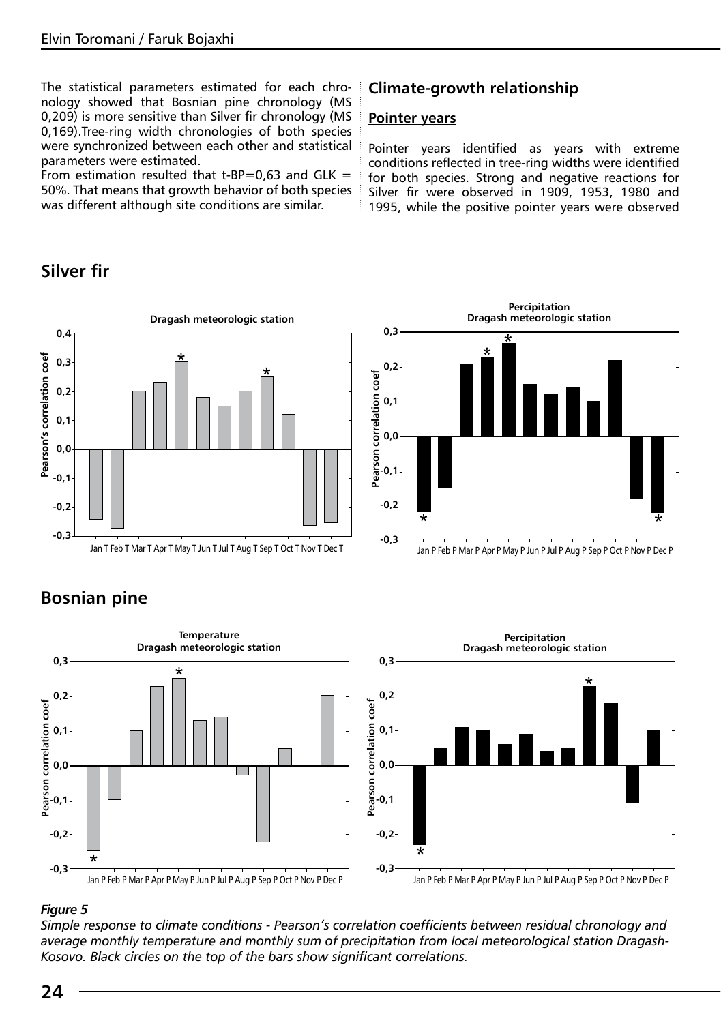The statistical parameters estimated for each chronology showed that Bosnian pine chronology (MS 0,209) is more sensitive than Silver fir chronology (MS 0,169).Tree-ring width chronologies of both species were synchronized between each other and statistical parameters were estimated.

From estimation resulted that t-BP=0,63 and GLK = 50%. That means that growth behavior of both species was different although site conditions are similar.

# **Silver fir**



# **Bosnian pine**



#### *Figure 5*

*Simple response to climate conditions - Pearson's correlation coefficients between residual chronology and average monthly temperature and monthly sum of precipitation from local meteorological station Dragash-Kosovo. Black circles on the top of the bars show significant correlations.*

## **Climate-growth relationship**

#### **Pointer years**

**0,3**

**0,2**

**0,1**

**0,0**

**Pearson correlation coef**

**-0,1**

**-0,2**

**-0,3**

Pointer years identified as years with extreme conditions reflected in tree-ring widths were identified for both species. Strong and negative reactions for Silver fir were observed in 1909, 1953, 1980 and 1995, while the positive pointer years were observed

> **Dragash meteorologic station Percipitation**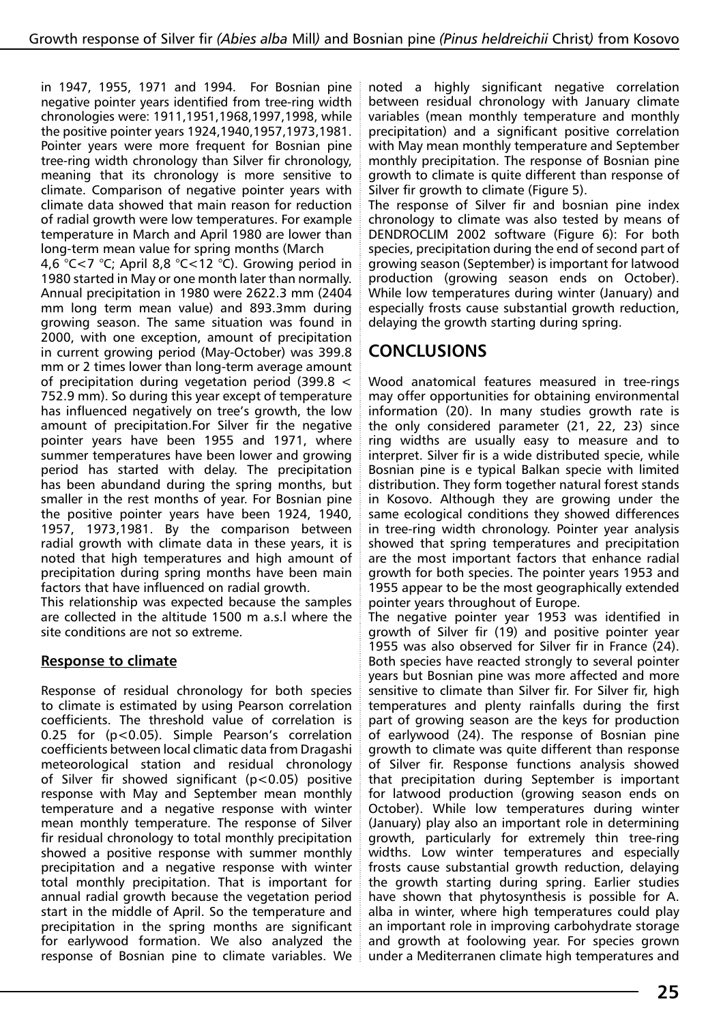in 1947, 1955, 1971 and 1994. For Bosnian pine negative pointer years identified from tree-ring width chronologies were: 1911,1951,1968,1997,1998, while the positive pointer years 1924,1940,1957,1973,1981. Pointer years were more frequent for Bosnian pine tree-ring width chronology than Silver fir chronology, meaning that its chronology is more sensitive to climate. Comparison of negative pointer years with climate data showed that main reason for reduction of radial growth were low temperatures. For example temperature in March and April 1980 are lower than long-term mean value for spring months (March

4,6 °C<7 °C; April 8,8 °C<12 °C). Growing period in 1980 started in May or one month later than normally. Annual precipitation in 1980 were 2622.3 mm (2404 mm long term mean value) and 893.3mm during growing season. The same situation was found in 2000, with one exception, amount of precipitation in current growing period (May-October) was 399.8 mm or 2 times lower than long-term average amount of precipitation during vegetation period (399.8 < 752.9 mm). So during this year except of temperature has influenced negatively on tree's growth, the low amount of precipitation.For Silver fir the negative pointer years have been 1955 and 1971, where summer temperatures have been lower and growing period has started with delay. The precipitation has been abundand during the spring months, but smaller in the rest months of year. For Bosnian pine the positive pointer years have been 1924, 1940, 1957, 1973,1981. By the comparison between radial growth with climate data in these years, it is noted that high temperatures and high amount of precipitation during spring months have been main factors that have influenced on radial growth.

This relationship was expected because the samples are collected in the altitude 1500 m a.s.l where the site conditions are not so extreme.

### **Response to climate**

Response of residual chronology for both species to climate is estimated by using Pearson correlation coefficients. The threshold value of correlation is 0.25 for (p<0.05). Simple Pearson's correlation coefficients between local climatic data from Dragashi meteorological station and residual chronology of Silver fir showed significant (p<0.05) positive response with May and September mean monthly temperature and a negative response with winter mean monthly temperature. The response of Silver fir residual chronology to total monthly precipitation showed a positive response with summer monthly precipitation and a negative response with winter total monthly precipitation. That is important for annual radial growth because the vegetation period start in the middle of April. So the temperature and precipitation in the spring months are significant for earlywood formation. We also analyzed the response of Bosnian pine to climate variables. We

noted a highly significant negative correlation between residual chronology with January climate variables (mean monthly temperature and monthly precipitation) and a significant positive correlation with May mean monthly temperature and September monthly precipitation. The response of Bosnian pine growth to climate is quite different than response of Silver fir growth to climate (Figure 5).

The response of Silver fir and bosnian pine index chronology to climate was also tested by means of DENDROCLIM 2002 software (Figure 6): For both species, precipitation during the end of second part of growing season (September) is important for latwood production (growing season ends on October). While low temperatures during winter (January) and especially frosts cause substantial growth reduction, delaying the growth starting during spring.

# **CONCLUSIONS**

Wood anatomical features measured in tree-rings may offer opportunities for obtaining environmental information (20). In many studies growth rate is the only considered parameter (21, 22, 23) since ring widths are usually easy to measure and to interpret. Silver fir is a wide distributed specie, while Bosnian pine is e typical Balkan specie with limited distribution. They form together natural forest stands in Kosovo. Although they are growing under the same ecological conditions they showed differences in tree-ring width chronology. Pointer year analysis showed that spring temperatures and precipitation are the most important factors that enhance radial growth for both species. The pointer years 1953 and 1955 appear to be the most geographically extended pointer years throughout of Europe.

The negative pointer year 1953 was identified in growth of Silver fir (19) and positive pointer year 1955 was also observed for Silver fir in France (24). Both species have reacted strongly to several pointer years but Bosnian pine was more affected and more sensitive to climate than Silver fir. For Silver fir, high temperatures and plenty rainfalls during the first part of growing season are the keys for production of earlywood (24). The response of Bosnian pine growth to climate was quite different than response of Silver fir. Response functions analysis showed that precipitation during September is important for latwood production (growing season ends on October). While low temperatures during winter (January) play also an important role in determining growth, particularly for extremely thin tree-ring widths. Low winter temperatures and especially frosts cause substantial growth reduction, delaying the growth starting during spring. Earlier studies have shown that phytosynthesis is possible for A. alba in winter, where high temperatures could play an important role in improving carbohydrate storage and growth at foolowing year. For species grown under a Mediterranen climate high temperatures and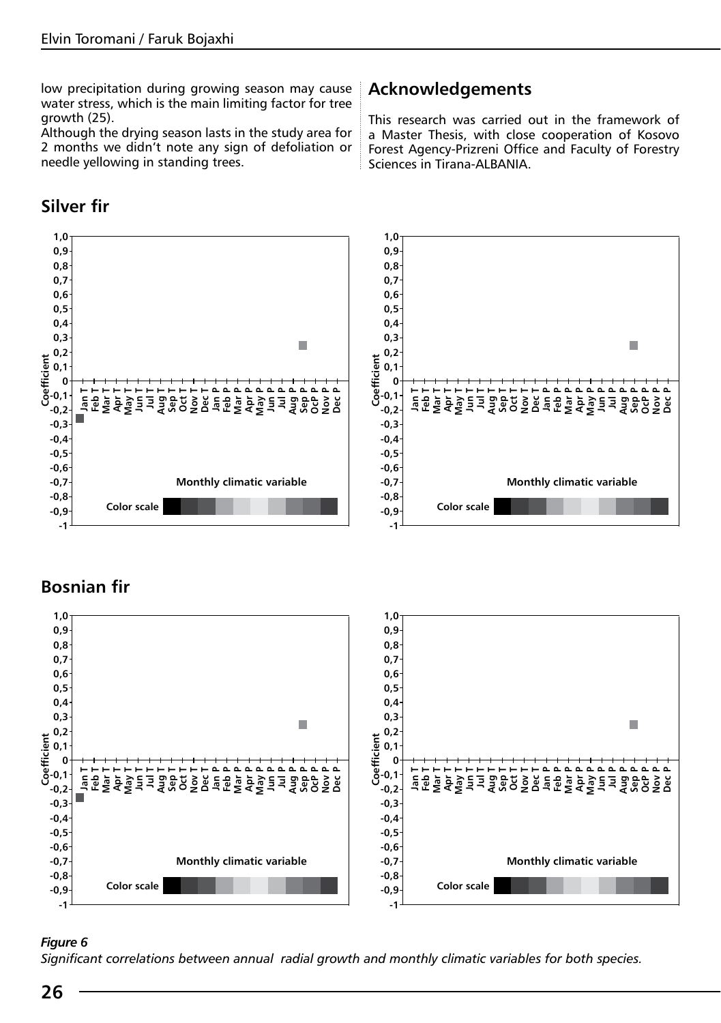low precipitation during growing season may cause water stress, which is the main limiting factor for tree growth (25).

Although the drying season lasts in the study area for 2 months we didn't note any sign of defoliation or needle yellowing in standing trees.

# **Silver fir**

# **Acknowledgements**

This research was carried out in the framework of a Master Thesis, with close cooperation of Kosovo Forest Agency-Prizreni Office and Faculty of Forestry Sciences in Tirana-ALBANIA.



# **Bosnian fir**



#### *Figure 6*

*Significant correlations between annual radial growth and monthly climatic variables for both species.*